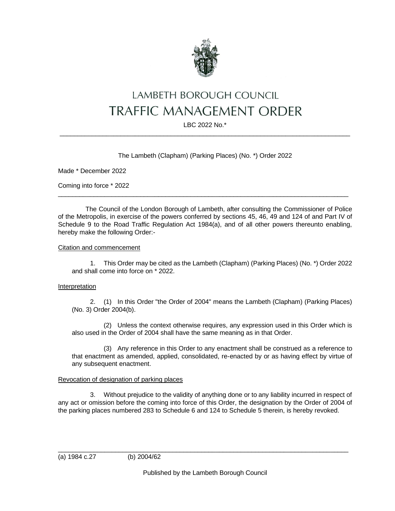

# LAMBETH BOROUGH COUNCIL **TRAFFIC MANAGEMENT ORDER**

LBC 2022 No.\*  $\_$  ,  $\_$  ,  $\_$  ,  $\_$  ,  $\_$  ,  $\_$  ,  $\_$  ,  $\_$  ,  $\_$  ,  $\_$  ,  $\_$  ,  $\_$  ,  $\_$  ,  $\_$  ,  $\_$  ,  $\_$  ,  $\_$  ,  $\_$  ,  $\_$  ,  $\_$  ,  $\_$  ,  $\_$  ,  $\_$  ,  $\_$  ,  $\_$  ,  $\_$  ,  $\_$  ,  $\_$  ,  $\_$  ,  $\_$  ,  $\_$  ,  $\_$  ,  $\_$  ,  $\_$  ,  $\_$  ,  $\_$  ,  $\_$  ,

# The Lambeth (Clapham) (Parking Places) (No. \*) Order 2022

Made \* December 2022

Coming into force \* 2022

The Council of the London Borough of Lambeth, after consulting the Commissioner of Police of the Metropolis, in exercise of the powers conferred by sections 45, 46, 49 and 124 of and Part IV of Schedule 9 to the Road Traffic Regulation Act 1984(a), and of all other powers thereunto enabling, hereby make the following Order:-

 $\_$  ,  $\_$  ,  $\_$  ,  $\_$  ,  $\_$  ,  $\_$  ,  $\_$  ,  $\_$  ,  $\_$  ,  $\_$  ,  $\_$  ,  $\_$  ,  $\_$  ,  $\_$  ,  $\_$  ,  $\_$  ,  $\_$  ,  $\_$  ,  $\_$  ,  $\_$  ,  $\_$  ,  $\_$  ,  $\_$  ,  $\_$  ,  $\_$  ,  $\_$  ,  $\_$  ,  $\_$  ,  $\_$  ,  $\_$  ,  $\_$  ,  $\_$  ,  $\_$  ,  $\_$  ,  $\_$  ,  $\_$  ,  $\_$  ,

#### Citation and commencement

1. This Order may be cited as the Lambeth (Clapham) (Parking Places) (No. \*) Order 2022 and shall come into force on \* 2022.

#### Interpretation

2. (1) In this Order "the Order of 2004" means the Lambeth (Clapham) (Parking Places) (No. 3) Order 2004(b).

(2) Unless the context otherwise requires, any expression used in this Order which is also used in the Order of 2004 shall have the same meaning as in that Order.

(3) Any reference in this Order to any enactment shall be construed as a reference to that enactment as amended, applied, consolidated, re-enacted by or as having effect by virtue of any subsequent enactment.

## Revocation of designation of parking places

3. Without prejudice to the validity of anything done or to any liability incurred in respect of any act or omission before the coming into force of this Order, the designation by the Order of 2004 of the parking places numbered 283 to Schedule 6 and 124 to Schedule 5 therein, is hereby revoked.

 $\_$  ,  $\_$  ,  $\_$  ,  $\_$  ,  $\_$  ,  $\_$  ,  $\_$  ,  $\_$  ,  $\_$  ,  $\_$  ,  $\_$  ,  $\_$  ,  $\_$  ,  $\_$  ,  $\_$  ,  $\_$  ,  $\_$  ,  $\_$  ,  $\_$  ,  $\_$  ,  $\_$  ,  $\_$  ,  $\_$  ,  $\_$  ,  $\_$  ,  $\_$  ,  $\_$  ,  $\_$  ,  $\_$  ,  $\_$  ,  $\_$  ,  $\_$  ,  $\_$  ,  $\_$  ,  $\_$  ,  $\_$  ,  $\_$  ,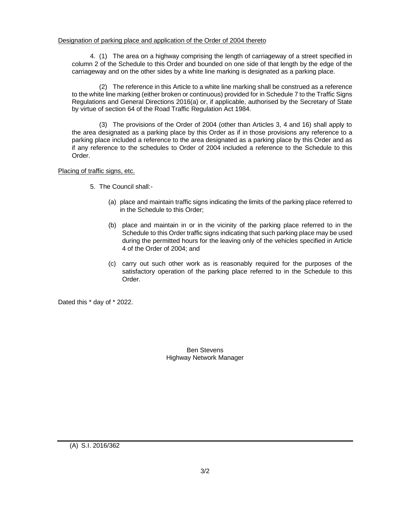## Designation of parking place and application of the Order of 2004 thereto

4. (1) The area on a highway comprising the length of carriageway of a street specified in column 2 of the Schedule to this Order and bounded on one side of that length by the edge of the carriageway and on the other sides by a white line marking is designated as a parking place.

(2) The reference in this Article to a white line marking shall be construed as a reference to the white line marking (either broken or continuous) provided for in Schedule 7 to the Traffic Signs Regulations and General Directions 2016(a) or, if applicable, authorised by the Secretary of State by virtue of section 64 of the Road Traffic Regulation Act 1984.

(3) The provisions of the Order of 2004 (other than Articles 3, 4 and 16) shall apply to the area designated as a parking place by this Order as if in those provisions any reference to a parking place included a reference to the area designated as a parking place by this Order and as if any reference to the schedules to Order of 2004 included a reference to the Schedule to this Order.

#### Placing of traffic signs, etc.

- 5. The Council shall:-
	- (a) place and maintain traffic signs indicating the limits of the parking place referred to in the Schedule to this Order;
	- (b) place and maintain in or in the vicinity of the parking place referred to in the Schedule to this Order traffic signs indicating that such parking place may be used during the permitted hours for the leaving only of the vehicles specified in Article 4 of the Order of 2004; and
	- (c) carry out such other work as is reasonably required for the purposes of the satisfactory operation of the parking place referred to in the Schedule to this Order.

Dated this \* day of \* 2022.

Ben Stevens Highway Network Manager

(A) S.I. 2016/362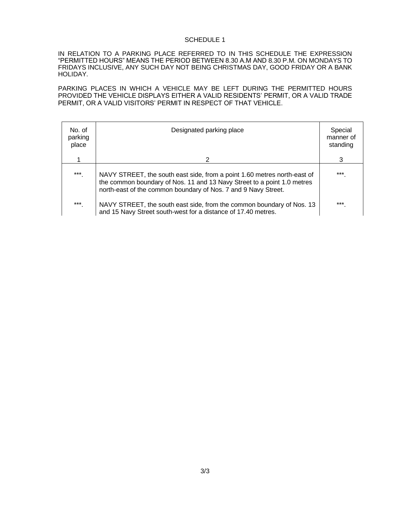#### SCHEDULE 1

IN RELATION TO A PARKING PLACE REFERRED TO IN THIS SCHEDULE THE EXPRESSION "PERMITTED HOURS" MEANS THE PERIOD BETWEEN 8.30 A.M AND 8.30 P.M. ON MONDAYS TO FRIDAYS INCLUSIVE, ANY SUCH DAY NOT BEING CHRISTMAS DAY, GOOD FRIDAY OR A BANK HOLIDAY.

PARKING PLACES IN WHICH A VEHICLE MAY BE LEFT DURING THE PERMITTED HOURS PROVIDED THE VEHICLE DISPLAYS EITHER A VALID RESIDENTS' PERMIT, OR A VALID TRADE PERMIT, OR A VALID VISITORS' PERMIT IN RESPECT OF THAT VEHICLE.

| No. of<br>parking<br>place | Designated parking place                                                                                                                                                                                              | Special<br>manner of<br>standing |
|----------------------------|-----------------------------------------------------------------------------------------------------------------------------------------------------------------------------------------------------------------------|----------------------------------|
|                            | 2                                                                                                                                                                                                                     | 3                                |
| ***                        | NAVY STREET, the south east side, from a point 1.60 metres north-east of<br>the common boundary of Nos. 11 and 13 Navy Street to a point 1.0 metres<br>north-east of the common boundary of Nos. 7 and 9 Navy Street. | $***$                            |
| ***                        | NAVY STREET, the south east side, from the common boundary of Nos. 13<br>and 15 Navy Street south-west for a distance of 17.40 metres.                                                                                | ***                              |